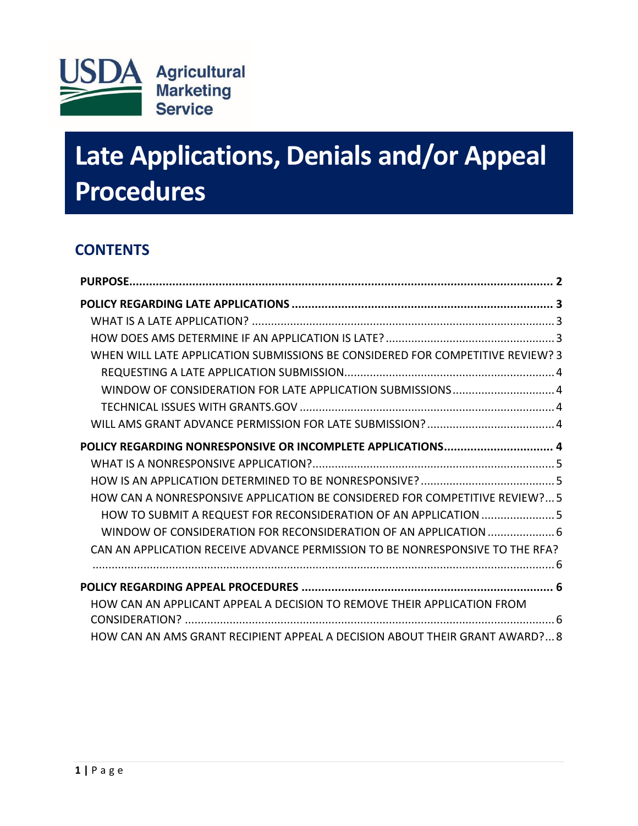

# **Late Applications, Denials and/or Appeal Procedures**

# **CONTENTS**

<span id="page-0-0"></span>

| WHEN WILL LATE APPLICATION SUBMISSIONS BE CONSIDERED FOR COMPETITIVE REVIEW? 3 |
|--------------------------------------------------------------------------------|
|                                                                                |
| WINDOW OF CONSIDERATION FOR LATE APPLICATION SUBMISSIONS 4                     |
|                                                                                |
|                                                                                |
| POLICY REGARDING NONRESPONSIVE OR INCOMPLETE APPLICATIONS 4                    |
|                                                                                |
|                                                                                |
| HOW CAN A NONRESPONSIVE APPLICATION BE CONSIDERED FOR COMPETITIVE REVIEW? 5    |
| HOW TO SUBMIT A REQUEST FOR RECONSIDERATION OF AN APPLICATION  5               |
|                                                                                |
| CAN AN APPLICATION RECEIVE ADVANCE PERMISSION TO BE NONRESPONSIVE TO THE RFA?  |
|                                                                                |
| HOW CAN AN APPLICANT APPEAL A DECISION TO REMOVE THEIR APPLICATION FROM        |
|                                                                                |
| HOW CAN AN AMS GRANT RECIPIENT APPEAL A DECISION ABOUT THEIR GRANT AWARD? 8    |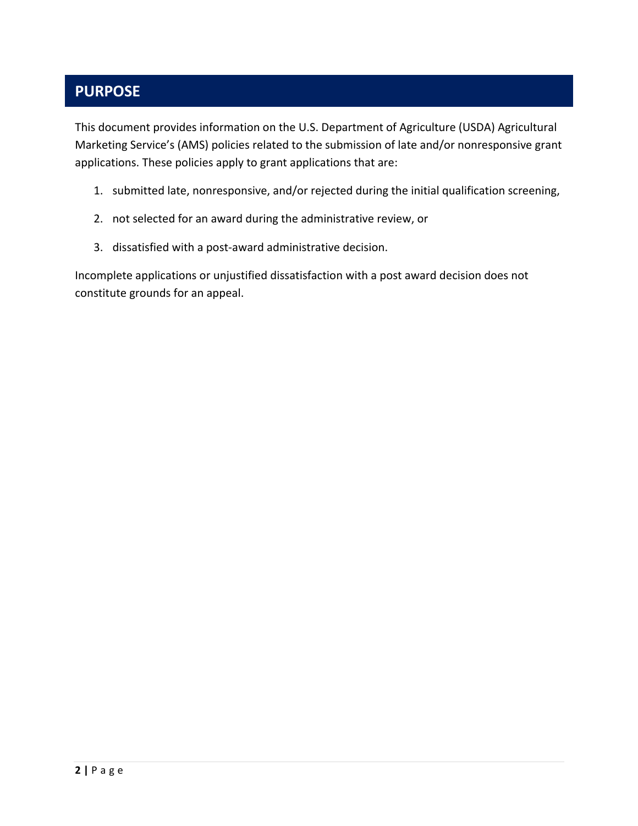# **PURPOSE**

This document provides information on the U.S. Department of Agriculture (USDA) Agricultural Marketing Service's (AMS) policies related to the submission of late and/or nonresponsive grant applications. These policies apply to grant applications that are:

- 1. submitted late, nonresponsive, and/or rejected during the initial qualification screening,
- 2. not selected for an award during the administrative review, or
- 3. dissatisfied with a post-award administrative decision.

Incomplete applications or unjustified dissatisfaction with a post award decision does not constitute grounds for an appeal.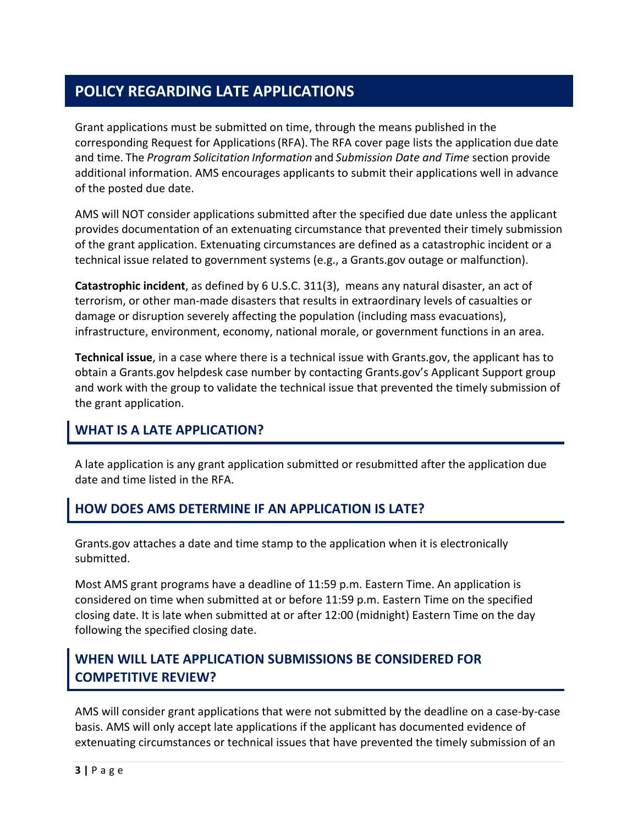# <span id="page-2-0"></span>**POLICY REGARDING LATE APPLICATIONS**

Grant applications must be submitted on time, through the means published in the corresponding Request for Applications(RFA). The RFA cover page lists the application due date and time. The *Program Solicitation Information* and *Submission Date and Time* section provide additional information. AMS encourages applicants to submit their applications well in advance of the posted due date.

AMS will NOT consider applications submitted after the specified due date unless the applicant provides documentation of an extenuating circumstance that prevented their timely submission of the grant application. Extenuating circumstances are defined as a catastrophic incident or a technical issue related to government systems (e.g., a Grants.gov outage or malfunction).

**Catastrophic incident**, as defined by [6 U.S.C.](http://uscode.house.gov/view.xhtml?req=(title:6%20section:311%20edition:prelim)%20OR%20(granuleid:USC-prelim-title6-section311)&f=treesort&edition=prelim&num=0&jumpTo=true#substructure-location_3) 311(3), means any natural disaster, an act of terrorism, or other man-made disasters that results in extraordinary levels of casualties or damage or disruption severely affecting the population (including mass evacuations), infrastructure, environment, economy, national morale, or government functions in an area.

**Technical issue**, in a case where there is a technical issue with Grants.gov, the applicant has to obtain a Grants.gov helpdesk case number by contacting Grants.gov's Applicant Support group and work with the group to validate the technical issue that prevented the timely submission of the grant application.

# <span id="page-2-1"></span>**WHAT IS A LATE APPLICATION?**

A late application is any grant application submitted or resubmitted after the application due date and time listed in the RFA.

## <span id="page-2-2"></span>**HOW DOES AMS DETERMINE IF AN APPLICATION IS LATE?**

Grants.gov attaches a date and time stamp to the application when it is electronically submitted.

Most AMS grant programs have a deadline of 11:59 p.m. Eastern Time. An application is considered on time when submitted at or before 11:59 p.m. Eastern Time on the specified closing date. It is late when submitted at or after 12:00 (midnight) Eastern Time on the day following the specified closing date.

## <span id="page-2-3"></span>**WHEN WILL LATE APPLICATION SUBMISSIONS BE CONSIDERED FOR COMPETITIVE REVIEW?**

AMS will consider grant applications that were not submitted by the deadline on a case-by-case basis. AMS will only accept late applications if the applicant has documented evidence of extenuating circumstances or technical issues that have prevented the timely submission of an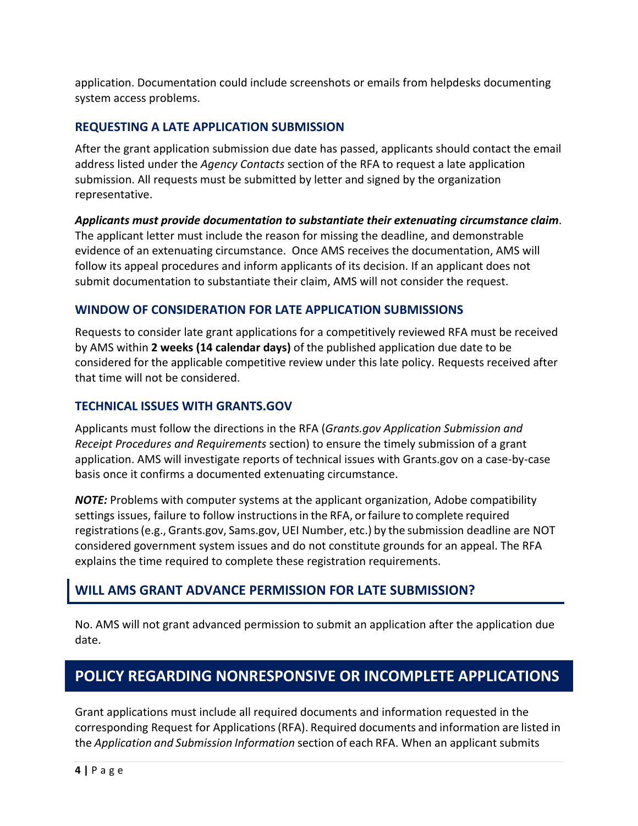application. Documentation could include screenshots or emails from helpdesks documenting system access problems.

#### <span id="page-3-0"></span>**REQUESTING A LATE APPLICATION SUBMISSION**

After the grant application submission due date has passed, applicants should contact the email address listed under the *Agency Contacts* section of the RFA to request a late application submission. All requests must be submitted by letter and signed by the organization representative.

*Applicants must provide documentation to substantiate their extenuating circumstance claim*. The applicant letter must include the reason for missing the deadline, and demonstrable evidence of an extenuating circumstance. Once AMS receives the documentation, AMS will follow its appeal procedures and inform applicants of its decision. If an applicant does not submit documentation to substantiate their claim, AMS will not consider the request.

#### <span id="page-3-1"></span>**WINDOW OF CONSIDERATION FOR LATE APPLICATION SUBMISSIONS**

Requests to consider late grant applications for a competitively reviewed RFA must be received by AMS within **2 weeks (14 calendar days)** of the published application due date to be considered for the applicable competitive review under this late policy. Requests received after that time will not be considered.

#### <span id="page-3-2"></span>**TECHNICAL ISSUES WITH GRANTS.GOV**

Applicants must follow the directions in the RFA (*Grants.gov Application Submission and Receipt Procedures and Requirements* section) to ensure the timely submission of a grant application. AMS will investigate reports of technical issues with Grants.gov on a case-by-case basis once it confirms a documented extenuating circumstance.

*NOTE:* Problems with computer systems at the applicant organization, Adobe compatibility settings issues, failure to follow instructions in the RFA, or failure to complete required registrations(e.g., Grants.gov, Sams.gov, UEI Number, etc.) by the submission deadline are NOT considered government system issues and do not constitute grounds for an appeal. The RFA explains the time required to complete these registration requirements.

#### <span id="page-3-3"></span>**WILL AMS GRANT ADVANCE PERMISSION FOR LATE SUBMISSION?**

<span id="page-3-4"></span>No. AMS will not grant advanced permission to submit an application after the application due date.

# **POLICY REGARDING NONRESPONSIVE OR INCOMPLETE APPLICATIONS**

Grant applications must include all required documents and information requested in the corresponding Request for Applications(RFA). Required documents and information are listed in the *Application and Submission Information* section of each RFA. When an applicant submits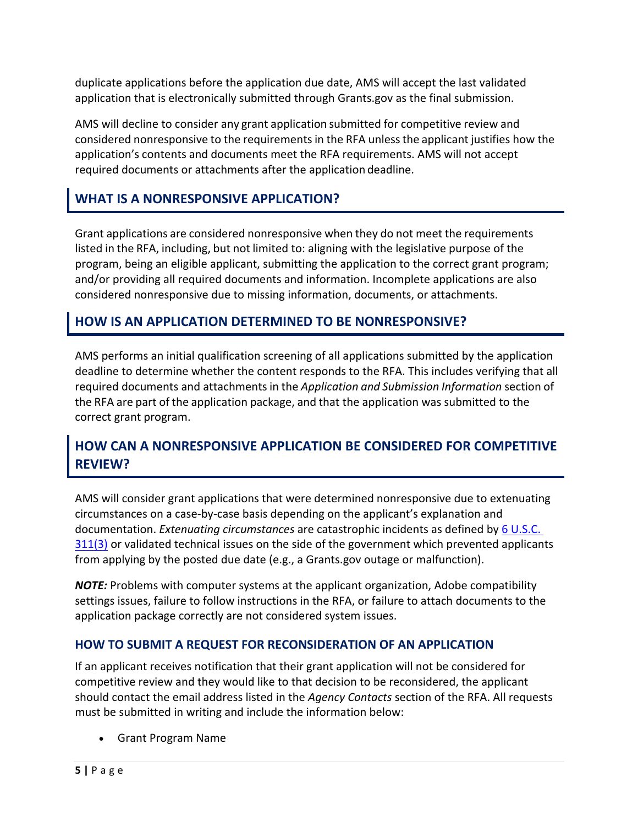duplicate applications before the application due date, AMS will accept the last validated application that is electronically submitted through Grants.gov as the final submission.

AMS will decline to consider any grant application submitted for competitive review and considered nonresponsive to the requirements in the RFA unless the applicant justifies how the application's contents and documents meet the RFA requirements. AMS will not accept required documents or attachments after the application deadline.

## <span id="page-4-0"></span>**WHAT IS A NONRESPONSIVE APPLICATION?**

Grant applications are considered nonresponsive when they do not meet the requirements listed in the RFA, including, but not limited to: aligning with the legislative purpose of the program, being an eligible applicant, submitting the application to the correct grant program; and/or providing all required documents and information. Incomplete applications are also considered nonresponsive due to missing information, documents, or attachments.

## <span id="page-4-1"></span>**HOW IS AN APPLICATION DETERMINED TO BE NONRESPONSIVE?**

AMS performs an initial qualification screening of all applications submitted by the application deadline to determine whether the content responds to the RFA. This includes verifying that all required documents and attachmentsin the *Application and Submission Information* section of the RFA are part of the application package, and that the application was submitted to the correct grant program.

## <span id="page-4-2"></span>**HOW CAN A NONRESPONSIVE APPLICATION BE CONSIDERED FOR COMPETITIVE REVIEW?**

AMS will consider grant applications that were determined nonresponsive due to extenuating circumstances on a case-by-case basis depending on the applicant's explanation and documentation. *Extenuating circumstances* are catastrophic incidents as defined by [6 U.S.C.](http://uscode.house.gov/view.xhtml?req=(title:6%20section:311%20edition:prelim)%20OR%20(granuleid:USC-prelim-title6-section311)&f=treesort&edition=prelim&num=0&jumpTo=true#substructure-location_3)   $311(3)$  or validated technical issues on the side of the government which prevented applicants from applying by the posted due date (e.g., a Grants.gov outage or malfunction).

*NOTE:* Problems with computer systems at the applicant organization, Adobe compatibility settings issues, failure to follow instructions in the RFA, or failure to attach documents to the application package correctly are not considered system issues.

#### <span id="page-4-3"></span>**HOW TO SUBMIT A REQUEST FOR RECONSIDERATION OF AN APPLICATION**

If an applicant receives notification that their grant application will not be considered for competitive review and they would like to that decision to be reconsidered, the applicant should contact the email address listed in the *Agency Contacts* section of the RFA. All requests must be submitted in writing and include the information below:

• Grant Program Name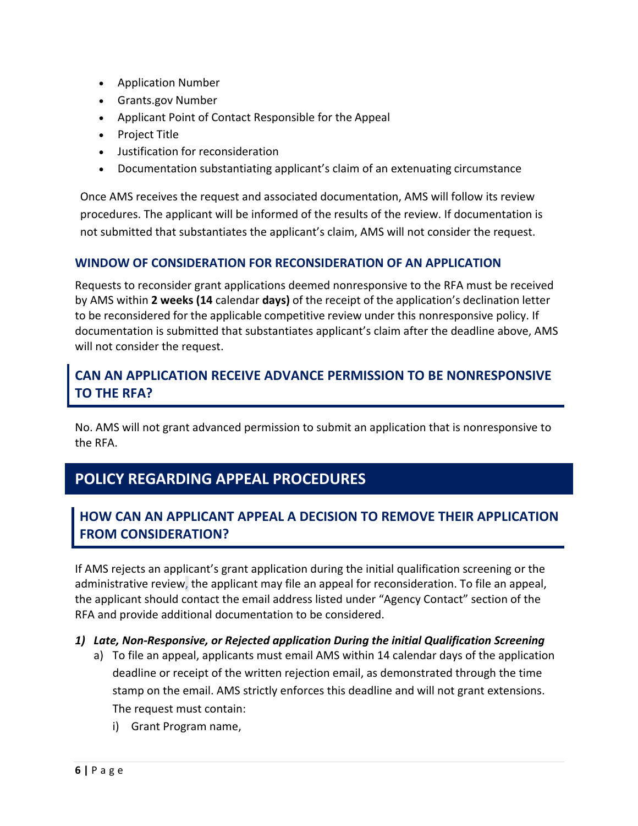- Application Number
- Grants.gov Number
- Applicant Point of Contact Responsible for the Appeal
- Project Title
- Justification for reconsideration
- Documentation substantiating applicant's claim of an extenuating circumstance

Once AMS receives the request and associated documentation, AMS will follow its review procedures. The applicant will be informed of the results of the review. If documentation is not submitted that substantiates the applicant's claim, AMS will not consider the request.

#### <span id="page-5-0"></span>**WINDOW OF CONSIDERATION FOR RECONSIDERATION OF AN APPLICATION**

Requests to reconsider grant applications deemed nonresponsive to the RFA must be received by AMS within **2 weeks (14** calendar **days)** of the receipt of the application's declination letter to be reconsidered for the applicable competitive review under this nonresponsive policy. If documentation is submitted that substantiates applicant's claim after the deadline above, AMS will not consider the request.

## <span id="page-5-1"></span>**CAN AN APPLICATION RECEIVE ADVANCE PERMISSION TO BE NONRESPONSIVE TO THE RFA?**

<span id="page-5-2"></span>No. AMS will not grant advanced permission to submit an application that is nonresponsive to the RFA.

# **POLICY REGARDING APPEAL PROCEDURES**

## <span id="page-5-3"></span>**HOW CAN AN APPLICANT APPEAL A DECISION TO REMOVE THEIR APPLICATION FROM CONSIDERATION?**

If AMS rejects an applicant's grant application during the initial qualification screening or the administrative review, the applicant may file an appeal for reconsideration. To file an appeal, the applicant should contact the email address listed under "Agency Contact" section of the RFA and provide additional documentation to be considered.

#### *1) Late, Non-Responsive, or Rejected application During the initial Qualification Screening*

- a) To file an appeal, applicants must email AMS within 14 calendar days of the application deadline or receipt of the written rejection email, as demonstrated through the time stamp on the email. AMS strictly enforces this deadline and will not grant extensions. The request must contain:
	- i) Grant Program name,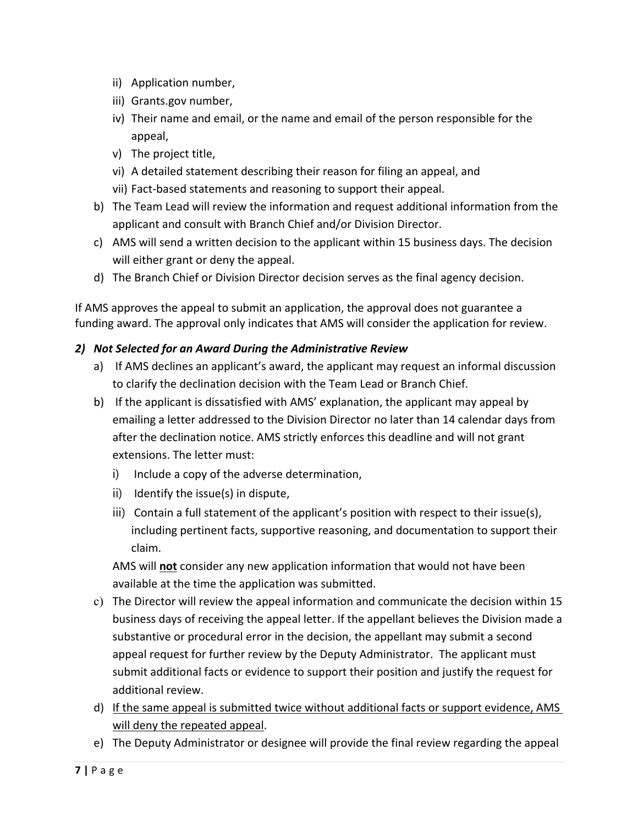- ii) Application number,
- iii) Grants.gov number,
- iv) Their name and email, or the name and email of the person responsible for the appeal,
- v) The project title,
- vi) A detailed statement describing their reason for filing an appeal, and
- vii) Fact-based statements and reasoning to support their appeal.
- b) The Team Lead will review the information and request additional information from the applicant and consult with Branch Chief and/or Division Director.
- c) AMS will send a written decision to the applicant within 15 business days. The decision will either grant or deny the appeal.
- d) The Branch Chief or Division Director decision serves as the final agency decision.

If AMS approves the appeal to submit an application, the approval does not guarantee a funding award. The approval only indicates that AMS will consider the application for review.

#### *2) Not Selected for an Award During the Administrative Review*

- a) If AMS declines an applicant's award, the applicant may request an informal discussion to clarify the declination decision with the Team Lead or Branch Chief.
- b) If the applicant is dissatisfied with AMS' explanation, the applicant may appeal by emailing a letter addressed to the Division Director no later than 14 calendar days from after the declination notice. AMS strictly enforces this deadline and will not grant extensions. The letter must:
	- i) Include a copy of the adverse determination,
	- ii) Identify the issue(s) in dispute,
	- iii) Contain a full statement of the applicant's position with respect to their issue(s), including pertinent facts, supportive reasoning, and documentation to support their claim.

AMS will **not** consider any new application information that would not have been available at the time the application was submitted.

- c) The Director will review the appeal information and communicate the decision within 15 business days of receiving the appeal letter. If the appellant believes the Division made a substantive or procedural error in the decision, the appellant may submit a second appeal request for further review by the Deputy Administrator. The applicant must submit additional facts or evidence to support their position and justify the request for additional review.
- d) If the same appeal is submitted twice without additional facts or support evidence, AMS will deny the repeated appeal.
- e) The Deputy Administrator or designee will provide the final review regarding the appeal